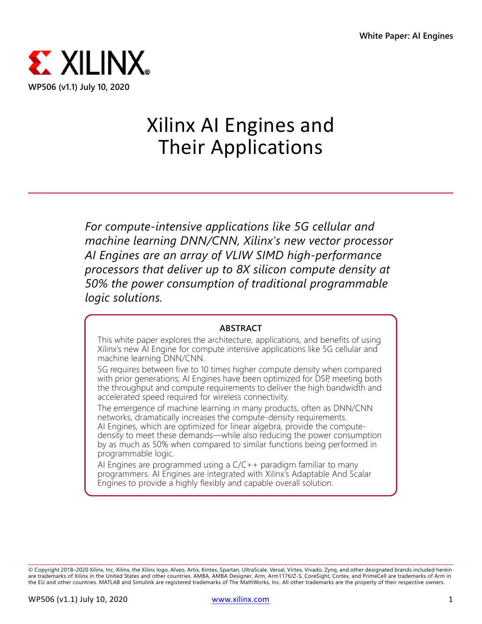

# Xilinx AI Engines and Their Applications

*For compute-intensive applications like 5G cellular and machine learning DNN/CNN, Xilinx's new vector processor AI Engines are an array of VLIW SIMD high-performance processors that deliver up to 8X silicon compute density at 50% the power consumption of traditional programmable logic solutions.*

#### **ABSTRACT**

This white paper explores the architecture, applications, and benefits of using Xilinx's new AI Engine for compute intensive applications like 5G cellular and machine learning DNN/CNN.

5G requires between five to 10 times higher compute density when compared with prior generations; AI Engines have been optimized for DSP, meeting both the throughput and compute requirements to deliver the high bandwidth and accelerated speed required for wireless connectivity.

The emergence of machine learning in many products, often as DNN/CNN networks, dramatically increases the compute-density requirements. AI Engines, which are optimized for linear algebra, provide the computedensity to meet these demands—while also reducing the power consumption by as much as 50% when compared to similar functions being performed in programmable logic.

AI Engines are programmed using a  $C/C++$  paradigm familiar to many programmers. AI Engines are integrated with Xilinx's Adaptable And Scalar Engines to provide a highly flexibly and capable overall solution.

<sup>©</sup> Copyright 2018–2020 Xilinx, Inc. Xilinx, the Xilinx logo, Alveo, Artix, Kintex, Spartan, UltraScale, Versal, Virtex, Vivado, Zynq, and other designated brands included herein are trademarks of Xilinx in the United States and other countries. AMBA, AMBA Designer, Arm, Arm1176JZ-S, CoreSight, Cortex, and PrimeCell are trademarks of Arm in the EU and other countries. MATLAB and Simulink are registered trademarks of The MathWorks, Inc. All other trademarks are the property of their respective owners.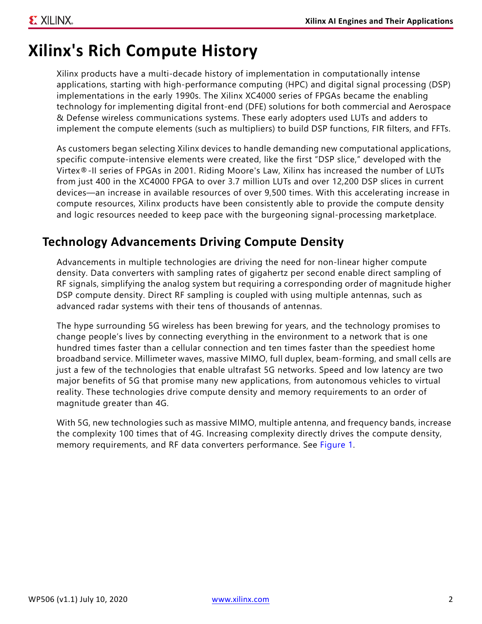## **Xilinx's Rich Compute History**

Xilinx products have a multi-decade history of implementation in computationally intense applications, starting with high-performance computing (HPC) and digital signal processing (DSP) implementations in the early 1990s. The Xilinx XC4000 series of FPGAs became the enabling technology for implementing digital front-end (DFE) solutions for both commercial and Aerospace & Defense wireless communications systems. These early adopters used LUTs and adders to implement the compute elements (such as multipliers) to build DSP functions, FIR filters, and FFTs.

As customers began selecting Xilinx devices to handle demanding new computational applications, specific compute-intensive elements were created, like the first "DSP slice," developed with the Virtex®-II series of FPGAs in 2001. Riding Moore's Law, Xilinx has increased the number of LUTs from just 400 in the XC4000 FPGA to over 3.7 million LUTs and over 12,200 DSP slices in current devices—an increase in available resources of over 9,500 times. With this accelerating increase in compute resources, Xilinx products have been consistently able to provide the compute density and logic resources needed to keep pace with the burgeoning signal-processing marketplace.

## **Technology Advancements Driving Compute Density**

Advancements in multiple technologies are driving the need for non-linear higher compute density. Data converters with sampling rates of gigahertz per second enable direct sampling of RF signals, simplifying the analog system but requiring a corresponding order of magnitude higher DSP compute density. Direct RF sampling is coupled with using multiple antennas, such as advanced radar systems with their tens of thousands of antennas.

The hype surrounding 5G wireless has been brewing for years, and the technology promises to change people's lives by connecting everything in the environment to a network that is one hundred times faster than a cellular connection and ten times faster than the speediest home broadband service. Millimeter waves, massive MIMO, full duplex, beam-forming, and small cells are just a few of the technologies that enable ultrafast 5G networks. Speed and low latency are two major benefits of 5G that promise many new applications, from autonomous vehicles to virtual reality. These technologies drive compute density and memory requirements to an order of magnitude greater than 4G.

With 5G, new technologies such as massive MIMO, multiple antenna, and frequency bands, increase the complexity 100 times that of 4G. Increasing complexity directly drives the compute density, memory requirements, and RF data converters performance. See [Figure 1.](#page-2-0)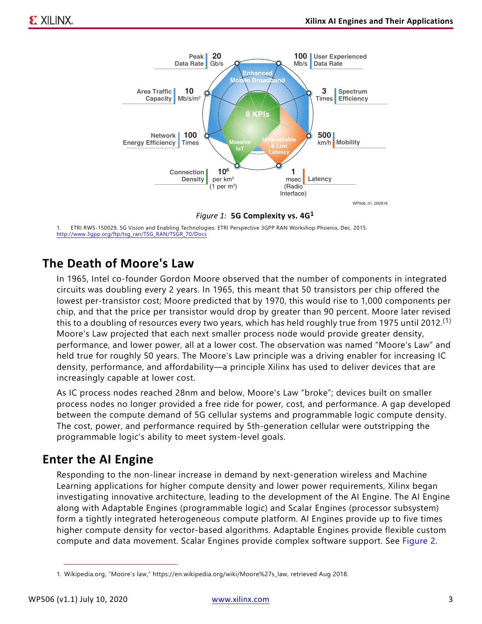<span id="page-2-0"></span>

*Figure 1:* **5G Complexity vs. 4G<sup>1</sup>**

1. ETRI RWS-150029, 5G Vision and Enabling Technologies: ETRI Perspective 3GPP RAN Workshop Phoenix, Dec. 2015: [http://www.3gpp.org/ftp/tsg\\_ran/TSG\\_RAN/TSGR\\_70/Docs](http://www.3gpp.org/ftp/tsg_ran/TSG_RAN/TSGR_70/Docs)

### **The Death of Moore's Law**

In 1965, Intel co-founder Gordon Moore observed that the number of components in integrated circuits was doubling every 2 years. In 1965, this meant that 50 transistors per chip offered the lowest per-transistor cost; Moore predicted that by 1970, this would rise to 1,000 components per chip, and that the price per transistor would drop by greater than 90 percent. Moore later revised this to a doubling of resources every two years, which has held roughly true from 1975 until 2012.<sup>(1)</sup> Moore's Law projected that each next smaller process node would provide greater density, performance, and lower power, all at a lower cost. The observation was named "Moore's Law" and held true for roughly 50 years. The Moore's Law principle was a driving enabler for increasing IC density, performance, and affordability—a principle Xilinx has used to deliver devices that are increasingly capable at lower cost.

As IC process nodes reached 28nm and below, Moore's Law "broke"; devices built on smaller process nodes no longer provided a free ride for power, cost, and performance. A gap developed between the compute demand of 5G cellular systems and programmable logic compute density. The cost, power, and performance required by 5th-generation cellular were outstripping the programmable logic's ability to meet system-level goals.

### **Enter the AI Engine**

Responding to the non-linear increase in demand by next-generation wireless and Machine Learning applications for higher compute density and lower power requirements, Xilinx began investigating innovative architecture, leading to the development of the AI Engine. The AI Engine along with Adaptable Engines (programmable logic) and Scalar Engines (processor subsystem) form a tightly integrated heterogeneous compute platform. AI Engines provide up to five times higher compute density for vector-based algorithms. Adaptable Engines provide flexible custom compute and data movement. Scalar Engines provide complex software support. See [Figure 2](#page-3-0).

<sup>1.</sup> Wikipedia.org, "Moore's law," https://en.wikipedia.org/wiki/Moore%27s\_law, retrieved Aug 2018.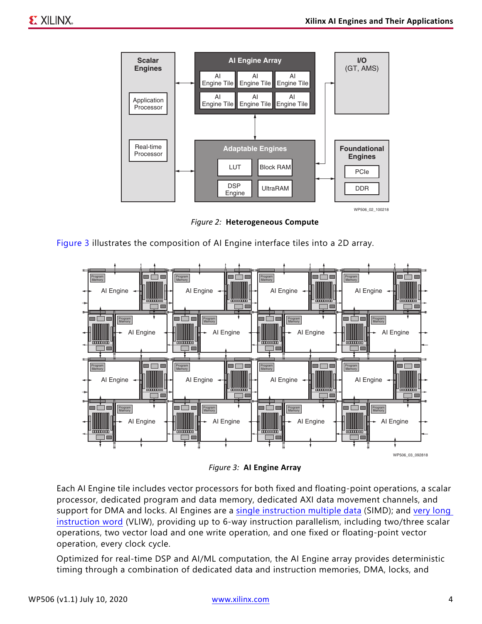<span id="page-3-0"></span>

*Figure 2:* **Heterogeneous Compute**



<span id="page-3-1"></span>

*Figure 3:* **AI Engine Array**

Each AI Engine tile includes vector processors for both fixed and floating-point operations, a scalar processor, dedicated program and data memory, dedicated AXI data movement channels, and support for DMA and locks. AI Engines are a [single instruction multiple data](https://en.wikipedia.org/wiki/SIMD) (SIMD); and very long [instruction word](https://en.wikipedia.org/wiki/Very_long_instruction_word) (VLIW), providing up to 6-way instruction parallelism, including two/three scalar operations, two vector load and one write operation, and one fixed or floating-point vector operation, every clock cycle.

Optimized for real-time DSP and AI/ML computation, the AI Engine array provides deterministic timing through a combination of dedicated data and instruction memories, DMA, locks, and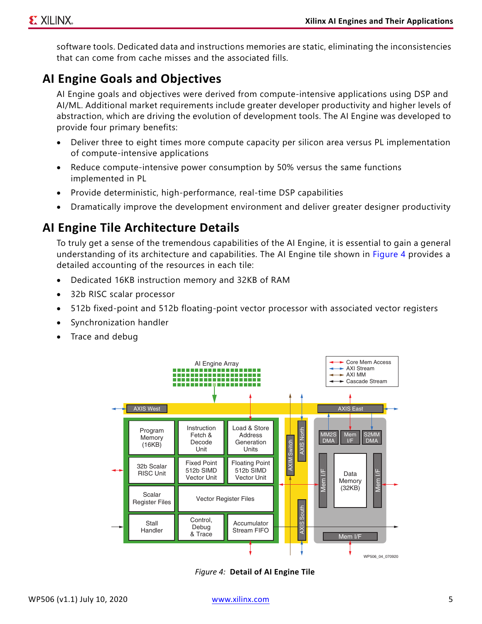software tools. Dedicated data and instructions memories are static, eliminating the inconsistencies that can come from cache misses and the associated fills.

## <span id="page-4-1"></span>**AI Engine Goals and Objectives**

AI Engine goals and objectives were derived from compute-intensive applications using DSP and AI/ML. Additional market requirements include greater developer productivity and higher levels of abstraction, which are driving the evolution of development tools. The AI Engine was developed to provide four primary benefits:

- Deliver three to eight times more compute capacity per silicon area versus PL implementation of compute-intensive applications
- Reduce compute-intensive power consumption by 50% versus the same functions implemented in PL
- Provide deterministic, high-performance, real-time DSP capabilities
- Dramatically improve the development environment and deliver greater designer productivity

### **AI Engine Tile Architecture Details**

To truly get a sense of the tremendous capabilities of the AI Engine, it is essential to gain a general understanding of its architecture and capabilities. The AI Engine tile shown in [Figure 4](#page-4-0) provides a detailed accounting of the resources in each tile:

- Dedicated 16KB instruction memory and 32KB of RAM
- 32b RISC scalar processor
- 512b fixed-point and 512b floating-point vector processor with associated vector registers
- Synchronization handler
- <span id="page-4-0"></span>Trace and debug



*Figure 4:* **Detail of AI Engine Tile**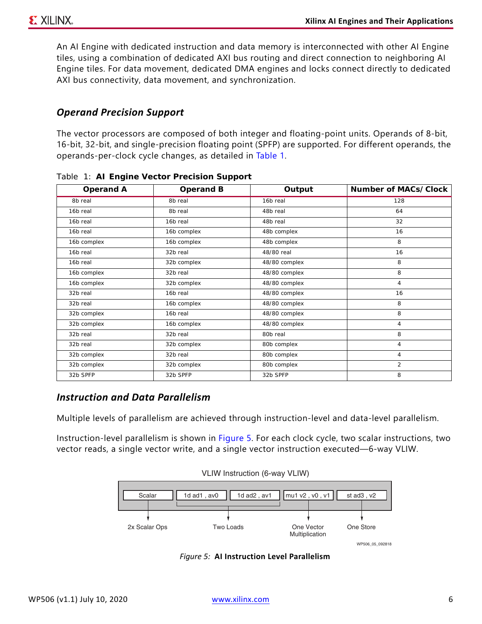An AI Engine with dedicated instruction and data memory is interconnected with other AI Engine tiles, using a combination of dedicated AXI bus routing and direct connection to neighboring AI Engine tiles. For data movement, dedicated DMA engines and locks connect directly to dedicated AXI bus connectivity, data movement, and synchronization.

#### *Operand Precision Support*

The vector processors are composed of both integer and floating-point units. Operands of 8-bit, 16-bit, 32-bit, and single-precision floating point (SPFP) are supported. For different operands, the operands-per-clock cycle changes, as detailed in [Table 1.](#page-5-0)

| Operand A            | Operand B   | Output        | Number of MACs/Clock |
|----------------------|-------------|---------------|----------------------|
| 8b real              | 8b real     | 16b real      | 128                  |
| 16 <sub>b</sub> real | 8b real     | 48b real      | 64                   |
| 16b real             | 16b real    | 48b real      | 32                   |
| 16b real             | 16b complex | 48b complex   | 16                   |
| 16b complex          | 16b complex | 48b complex   | 8                    |
| 16b real             | 32b real    | 48/80 real    | 16                   |
| 16b real             | 32b complex | 48/80 complex | 8                    |
| 16b complex          | 32b real    | 48/80 complex | 8                    |
| 16b complex          | 32b complex | 48/80 complex | $\overline{4}$       |
| 32b real             | 16b real    | 48/80 complex | 16                   |
| 32b real             | 16b complex | 48/80 complex | 8                    |
| 32b complex          | 16b real    | 48/80 complex | 8                    |
| 32b complex          | 16b complex | 48/80 complex | 4                    |
| 32b real             | 32b real    | 80b real      | 8                    |
| 32b real             | 32b complex | 80b complex   | 4                    |
| 32b complex          | 32b real    | 80b complex   | 4                    |
| 32b complex          | 32b complex | 80b complex   | $\overline{2}$       |
| 32b SPFP             | 32b SPFP    | 32b SPFP      | 8                    |

<span id="page-5-0"></span>*Table 1:* **AI Engine Vector Precision Support**

#### *Instruction and Data Parallelism*

Multiple levels of parallelism are achieved through instruction-level and data-level parallelism.

<span id="page-5-1"></span>Instruction-level parallelism is shown in [Figure 5.](#page-5-1) For each clock cycle, two scalar instructions, two vector reads, a single vector write, and a single vector instruction executed—6-way VLIW.



*Figure 5:* **AI Instruction Level Parallelism**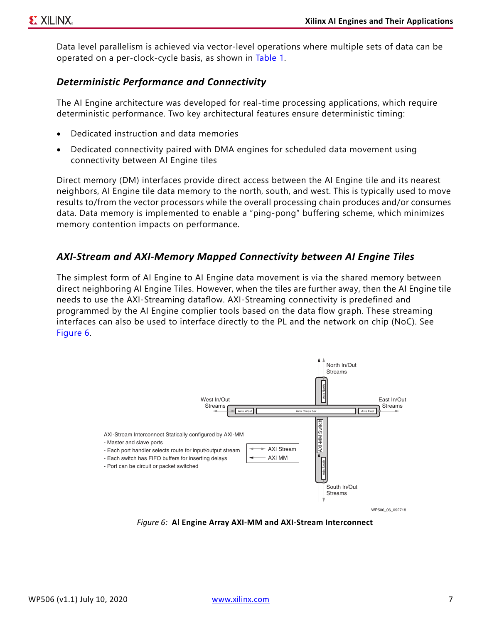Data level parallelism is achieved via vector-level operations where multiple sets of data can be operated on a per-clock-cycle basis, as shown in [Table 1](#page-5-0).

#### *Deterministic Performance and Connectivity*

The AI Engine architecture was developed for real-time processing applications, which require deterministic performance. Two key architectural features ensure deterministic timing:

- Dedicated instruction and data memories
- Dedicated connectivity paired with DMA engines for scheduled data movement using connectivity between AI Engine tiles

Direct memory (DM) interfaces provide direct access between the AI Engine tile and its nearest neighbors, AI Engine tile data memory to the north, south, and west. This is typically used to move results to/from the vector processors while the overall processing chain produces and/or consumes data. Data memory is implemented to enable a "ping-pong" buffering scheme, which minimizes memory contention impacts on performance.

#### *AXI-Stream and AXI-Memory Mapped Connectivity between AI Engine Tiles*

The simplest form of AI Engine to AI Engine data movement is via the shared memory between direct neighboring AI Engine Tiles. However, when the tiles are further away, then the AI Engine tile needs to use the AXI-Streaming dataflow. AXI-Streaming connectivity is predefined and programmed by the AI Engine complier tools based on the data flow graph. These streaming interfaces can also be used to interface directly to the PL and the network on chip (NoC). See [Figure 6.](#page-6-0)

<span id="page-6-0"></span>

*Figure 6:* **Al Engine Array AXI-MM and AXI-Stream Interconnect**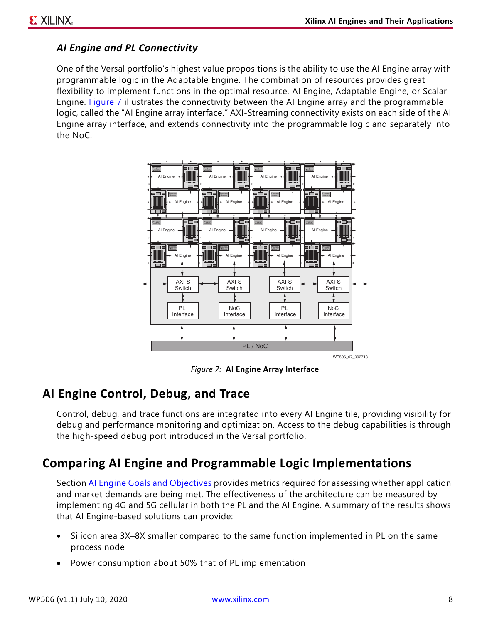#### *AI Engine and PL Connectivity*

One of the Versal portfolio's highest value propositions is the ability to use the AI Engine array with programmable logic in the Adaptable Engine. The combination of resources provides great flexibility to implement functions in the optimal resource, AI Engine, Adaptable Engine, or Scalar Engine. [Figure 7](#page-7-0) illustrates the connectivity between the AI Engine array and the programmable logic, called the "AI Engine array interface." AXI-Streaming connectivity exists on each side of the AI Engine array interface, and extends connectivity into the programmable logic and separately into the NoC.

<span id="page-7-0"></span>

*Figure 7:* **AI Engine Array Interface**

### **AI Engine Control, Debug, and Trace**

Control, debug, and trace functions are integrated into every AI Engine tile, providing visibility for debug and performance monitoring and optimization. Access to the debug capabilities is through the high-speed debug port introduced in the Versal portfolio.

### **Comparing AI Engine and Programmable Logic Implementations**

Section [AI Engine Goals and Objectives](#page-4-1) provides metrics required for assessing whether application and market demands are being met. The effectiveness of the architecture can be measured by implementing 4G and 5G cellular in both the PL and the AI Engine. A summary of the results shows that AI Engine-based solutions can provide:

- Silicon area 3X–8X smaller compared to the same function implemented in PL on the same process node
- Power consumption about 50% that of PL implementation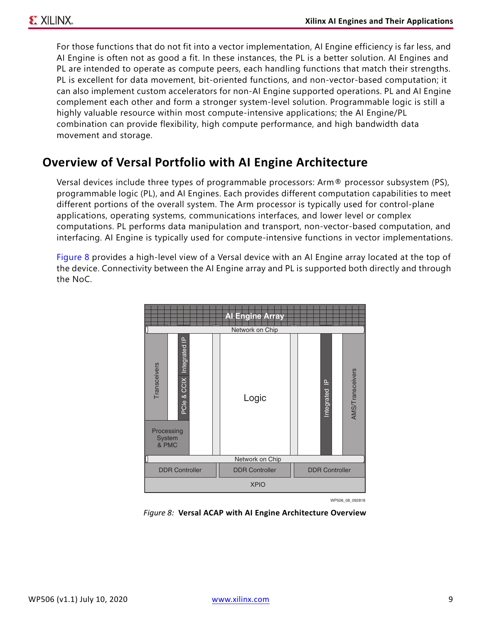For those functions that do not fit into a vector implementation, AI Engine efficiency is far less, and AI Engine is often not as good a fit. In these instances, the PL is a better solution. AI Engines and PL are intended to operate as compute peers, each handling functions that match their strengths. PL is excellent for data movement, bit-oriented functions, and non-vector-based computation; it can also implement custom accelerators for non-AI Engine supported operations. PL and AI Engine complement each other and form a stronger system-level solution. Programmable logic is still a highly valuable resource within most compute-intensive applications; the AI Engine/PL combination can provide flexibility, high compute performance, and high bandwidth data movement and storage.

## **Overview of Versal Portfolio with AI Engine Architecture**

Versal devices include three types of programmable processors: Arm® processor subsystem (PS), programmable logic (PL), and AI Engines. Each provides different computation capabilities to meet different portions of the overall system. The Arm processor is typically used for control-plane applications, operating systems, communications interfaces, and lower level or complex computations. PL performs data manipulation and transport, non-vector-based computation, and interfacing. AI Engine is typically used for compute-intensive functions in vector implementations.

<span id="page-8-0"></span>[Figure 8](#page-8-0) provides a high-level view of a Versal device with an AI Engine array located at the top of the device. Connectivity between the AI Engine array and PL is supported both directly and through the NoC.



WP506\_08\_092818

*Figure 8:* **Versal ACAP with AI Engine Architecture Overview**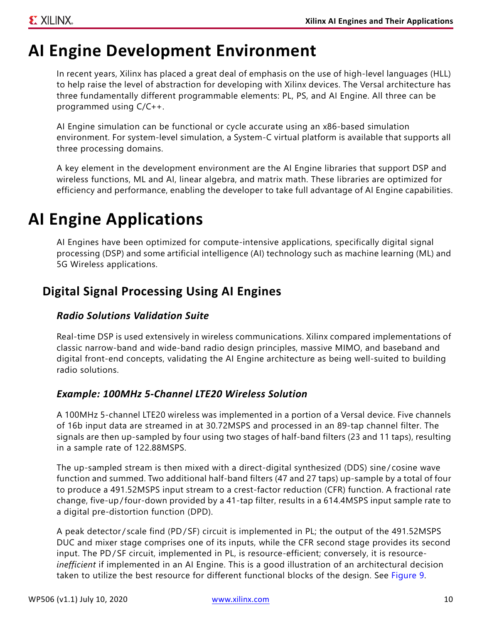# **AI Engine Development Environment**

In recent years, Xilinx has placed a great deal of emphasis on the use of high-level languages (HLL) to help raise the level of abstraction for developing with Xilinx devices. The Versal architecture has three fundamentally different programmable elements: PL, PS, and AI Engine. All three can be programmed using C/C++.

AI Engine simulation can be functional or cycle accurate using an x86-based simulation environment. For system-level simulation, a System-C virtual platform is available that supports all three processing domains.

A key element in the development environment are the AI Engine libraries that support DSP and wireless functions, ML and AI, linear algebra, and matrix math. These libraries are optimized for efficiency and performance, enabling the developer to take full advantage of AI Engine capabilities.

## **AI Engine Applications**

AI Engines have been optimized for compute-intensive applications, specifically digital signal processing (DSP) and some artificial intelligence (AI) technology such as machine learning (ML) and 5G Wireless applications.

## **Digital Signal Processing Using AI Engines**

#### *Radio Solutions Validation Suite*

Real-time DSP is used extensively in wireless communications. Xilinx compared implementations of classic narrow-band and wide-band radio design principles, massive MIMO, and baseband and digital front-end concepts, validating the AI Engine architecture as being well-suited to building radio solutions.

#### *Example: 100MHz 5-Channel LTE20 Wireless Solution*

A 100MHz 5-channel LTE20 wireless was implemented in a portion of a Versal device. Five channels of 16b input data are streamed in at 30.72MSPS and processed in an 89-tap channel filter. The signals are then up-sampled by four using two stages of half-band filters (23 and 11 taps), resulting in a sample rate of 122.88MSPS.

The up-sampled stream is then mixed with a direct-digital synthesized (DDS) sine/cosine wave function and summed. Two additional half-band filters (47 and 27 taps) up-sample by a total of four to produce a 491.52MSPS input stream to a crest-factor reduction (CFR) function. A fractional rate change, five-up/four-down provided by a 41-tap filter, results in a 614.4MSPS input sample rate to a digital pre-distortion function (DPD).

A peak detector/scale find (PD/SF) circuit is implemented in PL; the output of the 491.52MSPS DUC and mixer stage comprises one of its inputs, while the CFR second stage provides its second input. The PD/SF circuit, implemented in PL, is resource-efficient; conversely, it is resource*inefficient* if implemented in an AI Engine. This is a good illustration of an architectural decision taken to utilize the best resource for different functional blocks of the design. See [Figure 9](#page-10-0).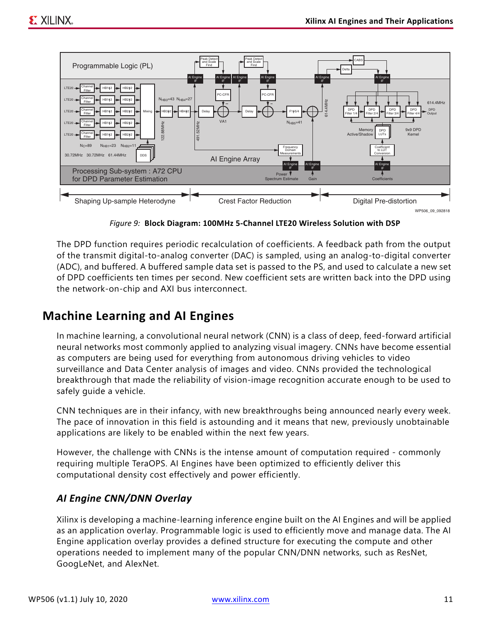<span id="page-10-0"></span>

*Figure 9:* **Block Diagram: 100MHz 5-Channel LTE20 Wireless Solution with DSP**

The DPD function requires periodic recalculation of coefficients. A feedback path from the output of the transmit digital-to-analog converter (DAC) is sampled, using an analog-to-digital converter (ADC), and buffered. A buffered sample data set is passed to the PS, and used to calculate a new set of DPD coefficients ten times per second. New coefficient sets are written back into the DPD using the network-on-chip and AXI bus interconnect.

#### **Machine Learning and AI Engines**

In machine learning, a convolutional neural network (CNN) is a class of deep, feed-forward artificial neural networks most commonly applied to analyzing visual imagery. CNNs have become essential as computers are being used for everything from autonomous driving vehicles to video surveillance and Data Center analysis of images and video. CNNs provided the technological breakthrough that made the reliability of vision-image recognition accurate enough to be used to safely guide a vehicle.

CNN techniques are in their infancy, with new breakthroughs being announced nearly every week. The pace of innovation in this field is astounding and it means that new, previously unobtainable applications are likely to be enabled within the next few years.

However, the challenge with CNNs is the intense amount of computation required - commonly requiring multiple TeraOPS. AI Engines have been optimized to efficiently deliver this computational density cost effectively and power efficiently.

#### *AI Engine CNN/DNN Overlay*

Xilinx is developing a machine-learning inference engine built on the AI Engines and will be applied as an application overlay. Programmable logic is used to efficiently move and manage data. The AI Engine application overlay provides a defined structure for executing the compute and other operations needed to implement many of the popular CNN/DNN networks, such as ResNet, GoogLeNet, and AlexNet.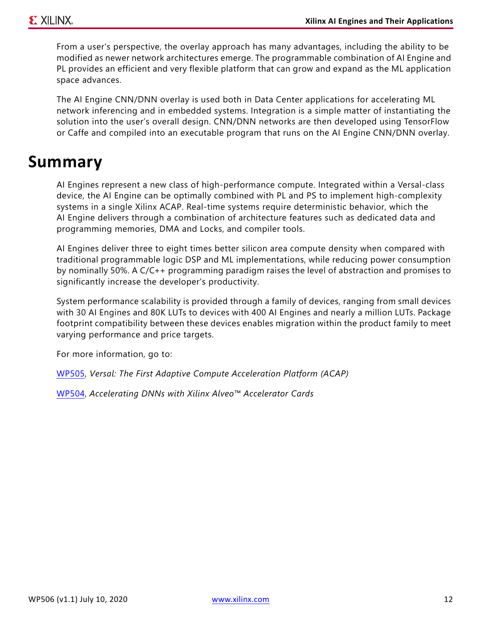From a user's perspective, the overlay approach has many advantages, including the ability to be modified as newer network architectures emerge. The programmable combination of AI Engine and PL provides an efficient and very flexible platform that can grow and expand as the ML application space advances.

The AI Engine CNN/DNN overlay is used both in Data Center applications for accelerating ML network inferencing and in embedded systems. Integration is a simple matter of instantiating the solution into the user's overall design. CNN/DNN networks are then developed using TensorFlow or Caffe and compiled into an executable program that runs on the AI Engine CNN/DNN overlay.

## **Summary**

AI Engines represent a new class of high-performance compute. Integrated within a Versal-class device, the AI Engine can be optimally combined with PL and PS to implement high-complexity systems in a single Xilinx ACAP. Real-time systems require deterministic behavior, which the AI Engine delivers through a combination of architecture features such as dedicated data and programming memories, DMA and Locks, and compiler tools.

AI Engines deliver three to eight times better silicon area compute density when compared with traditional programmable logic DSP and ML implementations, while reducing power consumption by nominally 50%. A C/C++ programming paradigm raises the level of abstraction and promises to significantly increase the developer's productivity.

System performance scalability is provided through a family of devices, ranging from small devices with 30 AI Engines and 80K LUTs to devices with 400 AI Engines and nearly a million LUTs. Package footprint compatibility between these devices enables migration within the product family to meet varying performance and price targets.

For more information, go to:

[WP505,](https://www.xilinx.com/support/documentation/white_papers/wp505-versal-acap.pdf) *Versal: The First Adaptive Compute Acceleration Platform (ACAP)*

[WP504,](https://www.xilinx.com/support/documentation/white_papers/wp504-accel-dnns.pdf) *Accelerating DNNs with Xilinx Alveo™ Accelerator Cards*